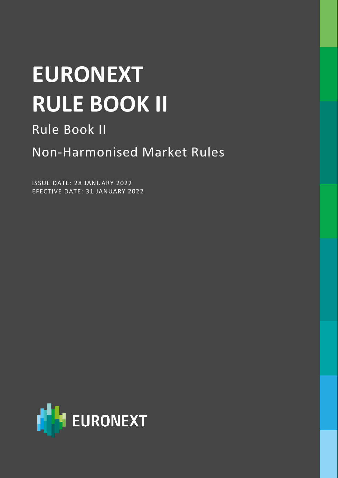### **EURONEXT RULE BOOK II**

### Rule Book II

Non-Harmonised Market Rules

ISSUE DATE: 28 JANUARY 2022 EFECTIVE DATE: 31 JANUARY 2022

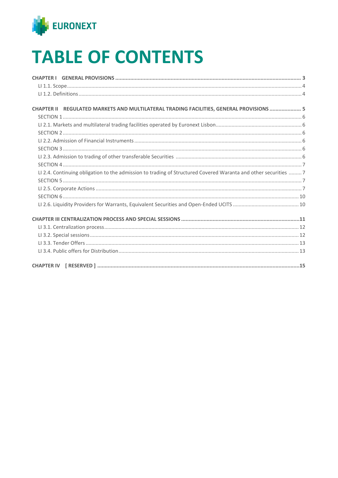

### **TABLE OF CONTENTS**

| CHAPTER II REGULATED MARKETS AND MULTILATERAL TRADING FACILITIES, GENERAL PROVISIONS  5                         |  |
|-----------------------------------------------------------------------------------------------------------------|--|
|                                                                                                                 |  |
|                                                                                                                 |  |
|                                                                                                                 |  |
|                                                                                                                 |  |
|                                                                                                                 |  |
|                                                                                                                 |  |
|                                                                                                                 |  |
| LI 2.4. Continuing obligation to the admission to trading of Structured Covered Waranta and other securities  7 |  |
|                                                                                                                 |  |
|                                                                                                                 |  |
|                                                                                                                 |  |
|                                                                                                                 |  |
|                                                                                                                 |  |
|                                                                                                                 |  |
|                                                                                                                 |  |
|                                                                                                                 |  |
|                                                                                                                 |  |
|                                                                                                                 |  |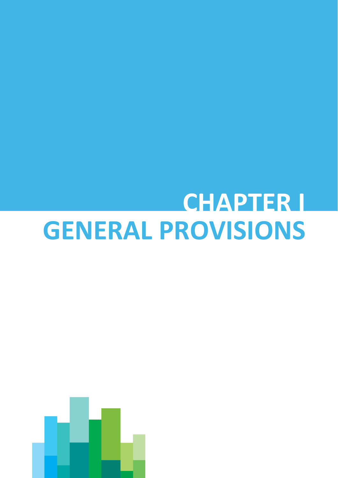### <span id="page-2-0"></span>**CHAPTER I GENERAL PROVISIONS**

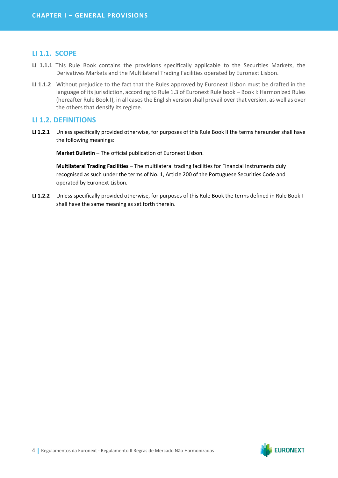#### <span id="page-3-0"></span>**LI 1.1. SCOPE**

- **LI 1.1.1** This Rule Book contains the provisions specifically applicable to the Securities Markets, the Derivatives Markets and the Multilateral Trading Facilities operated by Euronext Lisbon.
- **LI 1.1.2** Without prejudice to the fact that the Rules approved by Euronext Lisbon must be drafted in the language of its jurisdiction, according to Rule 1.3 of Euronext Rule book – Book I: Harmonized Rules (hereafter Rule Book I), in all cases the English version shall prevail over that version, as well as over the others that densify its regime.

#### <span id="page-3-1"></span>**LI 1.2. DEFINITIONS**

**LI 1.2.1** Unless specifically provided otherwise, for purposes of this Rule Book II the terms hereunder shall have the following meanings:

**Market Bulletin** – The official publication of Euronext Lisbon.

**Multilateral Trading Facilities** – The multilateral trading facilities for Financial Instruments duly recognised as such under the terms of No. 1, Article 200 of the Portuguese Securities Code and operated by Euronext Lisbon.

**LI 1.2.2** Unless specifically provided otherwise, for purposes of this Rule Book the terms defined in Rule Book I shall have the same meaning as set forth therein.

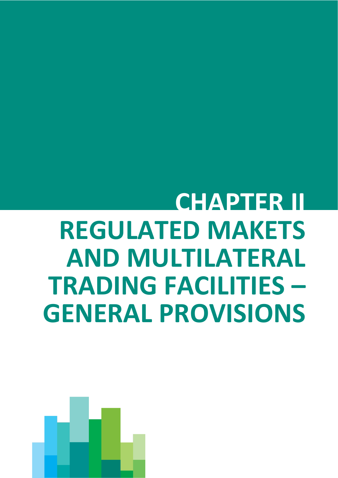## <span id="page-4-0"></span>**CHAPTER II REGULATED MAKETS AND MULTILATERAL TRADING FACILITIES – GENERAL PROVISIONS**

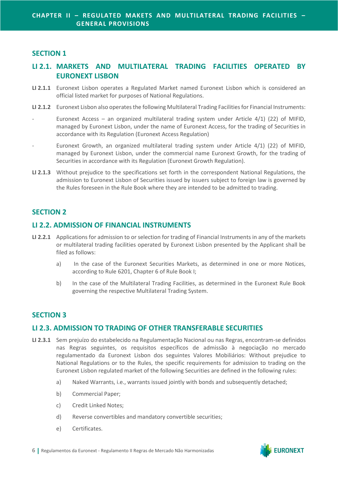#### <span id="page-5-0"></span>**SECTION 1**

#### <span id="page-5-1"></span>**LI 2.1. MARKETS AND MULTILATERAL TRADING FACILITIES OPERATED BY EURONEXT LISBON**

- **LI 2.1.1** Euronext Lisbon operates a Regulated Market named Euronext Lisbon which is considered an official listed market for purposes of National Regulations.
- **LI 2.1.2** Euronext Lisbon also operates the following Multilateral Trading Facilities for Financial Instruments:
- Euronext Access an organized multilateral trading system under Article  $4/1$ ) (22) of MIFID, managed by Euronext Lisbon, under the name of Euronext Access, for the trading of Securities in accordance with its Regulation (Euronext Access Regulation)
- Euronext Growth, an organized multilateral trading system under Article 4/1) (22) of MIFID, managed by Euronext Lisbon, under the commercial name Euronext Growth, for the trading of Securities in accordance with its Regulation (Euronext Growth Regulation).
- **LI 2.1.3** Without prejudice to the specifications set forth in the correspondent National Regulations, the admission to Euronext Lisbon of Securities issued by issuers subject to foreign law is governed by the Rules foreseen in the Rule Book where they are intended to be admitted to trading.

#### <span id="page-5-2"></span>**SECTION 2**

#### <span id="page-5-3"></span>**LI 2.2. ADMISSION OF FINANCIAL INSTRUMENTS**

- **LI 2.2.1** Applications for admission to or selection for trading of Financial Instruments in any of the markets or multilateral trading facilities operated by Euronext Lisbon presented by the Applicant shall be filed as follows:
	- a) In the case of the Euronext Securities Markets, as determined in one or more Notices, according to Rule 6201, Chapter 6 of Rule Book I;
	- b) In the case of the Multilateral Trading Facilities, as determined in the Euronext Rule Book governing the respective Multilateral Trading System.

#### <span id="page-5-4"></span>**SECTION 3**

#### <span id="page-5-5"></span>**LI 2.3. ADMISSION TO TRADING OF OTHER TRANSFERABLE SECURITIES**

- **LI 2.3.1** Sem prejuízo do estabelecido na Regulamentação Nacional ou nas Regras, encontram-se definidos nas Regras seguintes, os requisitos específicos de admissão à negociação no mercado regulamentado da Euronext Lisbon dos seguintes Valores Mobiliários: Without prejudice to National Regulations or to the Rules, the specific requirements for admission to trading on the Euronext Lisbon regulated market of the following Securities are defined in the following rules:
	- a) Naked Warrants, i.e., warrants issued jointly with bonds and subsequently detached;
	- b) Commercial Paper;
	- c) Credit Linked Notes;
	- d) Reverse convertibles and mandatory convertible securities;
	- e) Certificates.

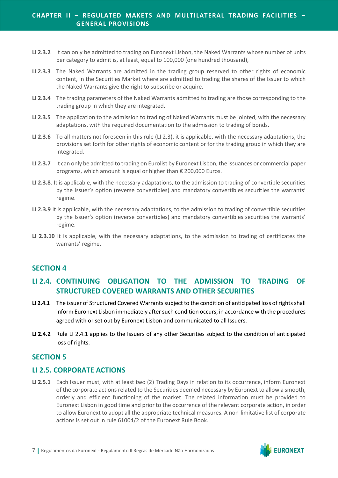- **LI 2.3.2** It can only be admitted to trading on Euronext Lisbon, the Naked Warrants whose number of units per category to admit is, at least, equal to 100,000 (one hundred thousand),
- **LI 2.3.3** The Naked Warrants are admitted in the trading group reserved to other rights of economic content, in the Securities Market where are admitted to trading the shares of the Issuer to which the Naked Warrants give the right to subscribe or acquire.
- **LI 2.3.4** The trading parameters of the Naked Warrants admitted to trading are those corresponding to the trading group in which they are integrated.
- **LI 2.3.5** The application to the admission to trading of Naked Warrants must be jointed, with the necessary adaptations, with the required documentation to the admission to trading of bonds.
- **LI 2.3.6** To all matters not foreseen in this rule (LI 2.3), it is applicable, with the necessary adaptations, the provisions set forth for other rights of economic content or for the trading group in which they are integrated.
- **LI 2.3.7** It can only be admitted to trading on Eurolist by Euronext Lisbon, the issuances or commercial paper programs, which amount is equal or higher than € 200,000 Euros.
- **LI 2.3.8**. It is applicable, with the necessary adaptations, to the admission to trading of convertible securities by the Issuer's option (reverse convertibles) and mandatory convertibles securities the warrants' regime.
- **LI 2.3.9** It is applicable, with the necessary adaptations, to the admission to trading of convertible securities by the Issuer's option (reverse convertibles) and mandatory convertibles securities the warrants' regime.
- **LI 2.3.10** It is applicable, with the necessary adaptations, to the admission to trading of certificates the warrants' regime.

#### <span id="page-6-0"></span>**SECTION 4**

#### <span id="page-6-1"></span>**LI 2.4. CONTINUING OBLIGATION TO THE ADMISSION TO TRADING OF STRUCTURED COVERED WARRANTS AND OTHER SECURITIES**

- **LI 2.4.1** The issuer of Structured Covered Warrants subject to the condition of anticipated loss of rights shall inform Euronext Lisbon immediately after such condition occurs, in accordance with the procedures agreed with or set out by Euronext Lisbon and communicated to all Issuers.
- **LI 2.4.2** Rule LI 2.4.1 applies to the Issuers of any other Securities subject to the condition of anticipated loss of rights.

#### <span id="page-6-2"></span>**SECTION 5**

#### <span id="page-6-3"></span>**LI 2.5. CORPORATE ACTIONS**

**LI 2.5.1** Each Issuer must, with at least two (2) Trading Days in relation to its occurrence, inform Euronext of the corporate actions related to the Securities deemed necessary by Euronext to allow a smooth, orderly and efficient functioning of the market. The related information must be provided to Euronext Lisbon in good time and prior to the occurrence of the relevant corporate action, in order to allow Euronext to adopt all the appropriate technical measures. A non-limitative list of corporate actions is set out in rule 61004/2 of the Euronext Rule Book.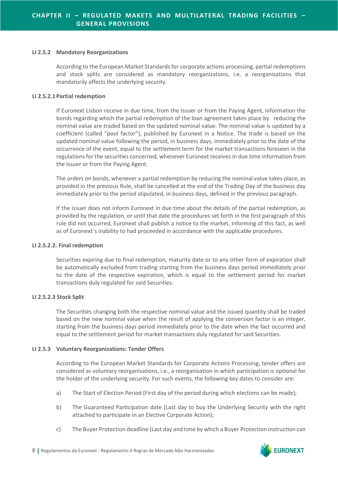#### **LI 2.5.2 Mandatory Reorganizations**

According to the European Market Standards for corporate actions processing, partial redemptions and stock splits are considered as mandatory reorganizations, i.e. a reorganisations that mandatorily affects the underlying security.

#### **LI 2.5.2.1Partial redemption**

If Euronext Lisbon receive in due time, from the Issuer or from the Paying Agent, information the bonds regarding which the partial redemption of the loan agreement takes place by reducing the nominal value are traded based on the updated nominal value. The nominal value is updated by a coefficient (called "pool factor"), published by Euronext in a Notice. The trade is based on the updated nominal value following the period, in business days, immediately prior to the date of the occurrence of the event, equal to the settlement term for the market transactions foreseen in the regulations for the securities concerned, whenever Euronext receives in due time information from the Issuer or from the Paying Agent.

The orders on bonds, whenever a partial redemption by reducing the nominal value takes place, as provided in the previous Rule, shall be cancelled at the end of the Trading Day of the business day immediately prior to the period stipulated, in business days, defined in the previous paragraph.

If the issuer does not inform Euronext in due time about the details of the partial redemption, as provided by the regulation, or until that date the procedures set forth in the first paragraph of this rule did not occurred, Euronext shall publish a notice to the market, informing of this fact, as well as of Euronext`s inability to had proceeded in accordance with the applicable procedures.

#### **LI 2.5.2.2. Final redemption**

Securities expiring due to final redemption, maturity date or to any other form of expiration shall be automatically excluded from trading starting from the business days period immediately prior to the date of the respective expiration, which is equal to the settlement period for market transactions duly regulated for said Securities.

#### **LI 2.5.2.3 Stock Split**

The Securities changing both the respective nominal value and the issued quantity shall be traded based on the new nominal value when the result of applying the conversion factor is an integer, starting from the business days period immediately prior to the date when the fact occurred and equal to the settlement period for market transactions duly regulated for said Securities.

#### **LI 2.5.3 Voluntary Reorganizations: Tender Offers**

According to the European Market Standards for Corporate Actions Processing, tender offers are considered as voluntary reorganisations, i.e., a reorganisation in which participation is optional for the holder of the underlying security. For such events, the following key dates to consider are:

- a) The Start of Election Period (First day of the period during which elections can be made);
- b) The Guaranteed Participation date (Last day to buy the Underlying Security with the right attached to participate in an Elective Corporate Action);
- c) The Buyer Protection deadline (Last day and time by which a Buyer Protection instruction can

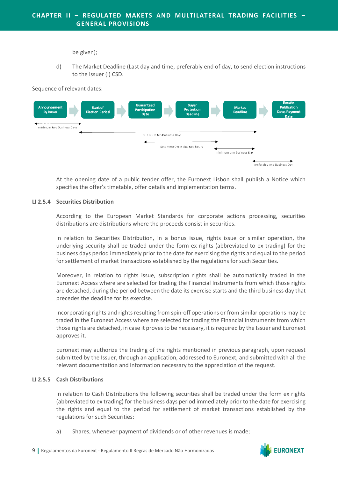be given);

d) The Market Deadline (Last day and time, preferably end of day, to send election instructions to the issuer (l) CSD.

Sequence of relevant dates:



At the opening date of a public tender offer, the Euronext Lisbon shall publish a Notice which specifies the offer's timetable, offer details and implementation terms.

#### **LI 2.5.4 Securities Distribution**

According to the European Market Standards for corporate actions processing, securities distributions are distributions where the proceeds consist in securities.

In relation to Securities Distribution, in a bonus issue, rights issue or similar operation, the underlying security shall be traded under the form ex rights (abbreviated to ex trading) for the business days period immediately prior to the date for exercising the rights and equal to the period for settlement of market transactions established by the regulations for such Securities.

Moreover, in relation to rights issue, subscription rights shall be automatically traded in the Euronext Access where are selected for trading the Financial Instruments from which those rights are detached, during the period between the date its exercise starts and the third business day that precedes the deadline for its exercise.

Incorporating rights and rights resulting from spin-off operations or from similar operations may be traded in the Euronext Access where are selected for trading the Financial Instruments from which those rights are detached, in case it proves to be necessary, it is required by the Issuer and Euronext approves it.

Euronext may authorize the trading of the rights mentioned in previous paragraph, upon request submitted by the Issuer, through an application, addressed to Euronext, and submitted with all the relevant documentation and information necessary to the appreciation of the request.

#### **LI 2.5.5 Cash Distributions**

In relation to Cash Distributions the following securities shall be traded under the form ex rights (abbreviated to ex trading) for the business days period immediately prior to the date for exercising the rights and equal to the period for settlement of market transactions established by the regulations for such Securities:

a) Shares, whenever payment of dividends or of other revenues is made;

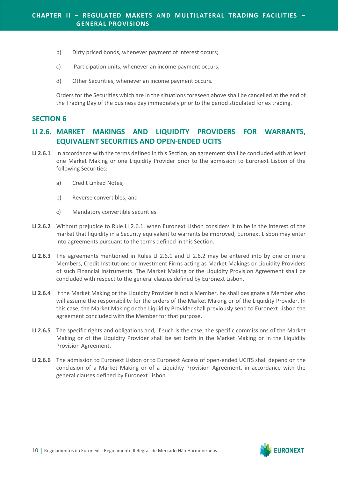- b) Dirty priced bonds, whenever payment of interest occurs;
- c) Participation units, whenever an income payment occurs;
- d) Other Securities, whenever an income payment occurs.

Orders for the Securities which are in the situations foreseen above shall be cancelled at the end of the Trading Day of the business day immediately prior to the period stipulated for ex trading.

#### <span id="page-9-0"></span>**SECTION 6**

#### <span id="page-9-1"></span>**LI 2.6. MARKET MAKINGS AND LIQUIDITY PROVIDERS FOR WARRANTS, EQUIVALENT SECURITIES AND OPEN-ENDED UCITS**

- **LI 2.6.1** In accordance with the terms defined in this Section, an agreement shall be concluded with at least one Market Making or one Liquidity Provider prior to the admission to Euronext Lisbon of the following Securities:
	- a) Credit Linked Notes;
	- b) Reverse convertibles; and
	- c) Mandatory convertible securities.
- **LI 2.6.2** Without prejudice to Rule LI 2.6.1, when Euronext Lisbon considers it to be in the interest of the market that liquidity in a Security equivalent to warrants be improved, Euronext Lisbon may enter into agreements pursuant to the terms defined in this Section.
- **LI 2.6.3** The agreements mentioned in Rules LI 2.6.1 and LI 2.6.2 may be entered into by one or more Members, Credit Institutions or Investment Firms acting as Market Makings or Liquidity Providers of such Financial Instruments. The Market Making or the Liquidity Provision Agreement shall be concluded with respect to the general clauses defined by Euronext Lisbon.
- **LI 2.6.4** If the Market Making or the Liquidity Provider is not a Member, he shall designate a Member who will assume the responsibility for the orders of the Market Making or of the Liquidity Provider. In this case, the Market Making or the Liquidity Provider shall previously send to Euronext Lisbon the agreement concluded with the Member for that purpose.
- **LI 2.6.5** The specific rights and obligations and, if such is the case, the specific commissions of the Market Making or of the Liquidity Provider shall be set forth in the Market Making or in the Liquidity Provision Agreement.
- **LI 2.6.6** The admission to Euronext Lisbon or to Euronext Access of open-ended UCITS shall depend on the conclusion of a Market Making or of a Liquidity Provision Agreement, in accordance with the general clauses defined by Euronext Lisbon.

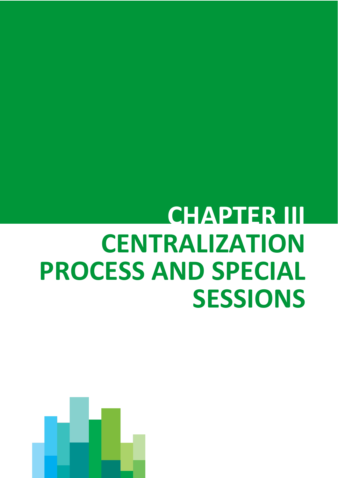## <span id="page-10-0"></span>**CHAPTER III CENTRALIZATION PROCESS AND SPECIAL SESSIONS**

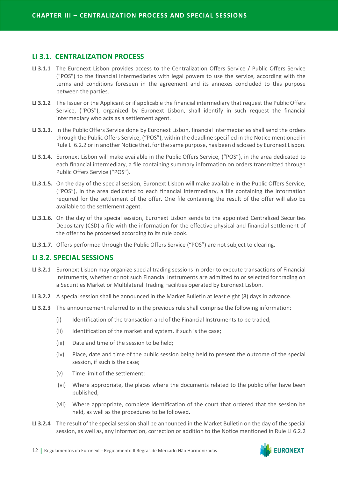#### <span id="page-11-0"></span>**LI 3.1. CENTRALIZATION PROCESS**

- **LI 3.1.1** The Euronext Lisbon provides access to the Centralization Offers Service / Public Offers Service ("POS") to the financial intermediaries with legal powers to use the service, according with the terms and conditions foreseen in the agreement and its annexes concluded to this purpose between the parties.
- **LI 3.1.2** The Issuer or the Applicant or if applicable the financial intermediary that request the Public Offers Service, ("POS"), organized by Euronext Lisbon, shall identify in such request the financial intermediary who acts as a settlement agent.
- **LI 3.1.3.** In the Public Offers Service done by Euronext Lisbon, financial intermediaries shall send the orders through the Public Offers Service, ("POS"), within the deadline specified in the Notice mentioned in Rule LI 6.2.2 or in another Notice that, for the same purpose, has been disclosed by Euronext Lisbon.
- **LI 3.1.4.** Euronext Lisbon will make available in the Public Offers Service, ("POS"), in the area dedicated to each financial intermediary, a file containing summary information on orders transmitted through Public Offers Service ("POS").
- **LI.3.1.5.** On the day of the special session, Euronext Lisbon will make available in the Public Offers Service, ("POS"), in the area dedicated to each financial intermediary, a file containing the information required for the settlement of the offer. One file containing the result of the offer will also be available to the settlement agent.
- **LI.3.1.6.** On the day of the special session, Euronext Lisbon sends to the appointed Centralized Securities Depositary (CSD) a file with the information for the effective physical and financial settlement of the offer to be processed according to its rule book.
- **LI.3.1.7.** Offers performed through the Public Offers Service ("POS") are not subject to clearing.

#### <span id="page-11-1"></span>**LI 3.2. SPECIAL SESSIONS**

- **LI 3.2.1** Euronext Lisbon may organize special trading sessions in order to execute transactions of Financial Instruments, whether or not such Financial Instruments are admitted to or selected for trading on a Securities Market or Multilateral Trading Facilities operated by Euronext Lisbon.
- **LI 3.2.2** A special session shall be announced in the Market Bulletin at least eight (8) days in advance.
- **LI 3.2.3** The announcement referred to in the previous rule shall comprise the following information:
	- (i) Identification of the transaction and of the Financial Instruments to be traded;
	- (ii) Identification of the market and system, if such is the case;
	- (iii) Date and time of the session to be held;
	- (iv) Place, date and time of the public session being held to present the outcome of the special session, if such is the case;
	- (v) Time limit of the settlement;
	- (vi) Where appropriate, the places where the documents related to the public offer have been published;
	- (vii) Where appropriate, complete identification of the court that ordered that the session be held, as well as the procedures to be followed.
- **LI 3.2.4** The result of the special session shall be announced in the Market Bulletin on the day of the special session, as well as, any information, correction or addition to the Notice mentioned in Rule LI 6.2.2

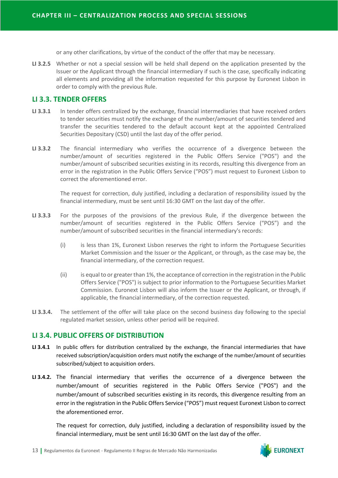or any other clarifications, by virtue of the conduct of the offer that may be necessary.

**LI 3.2.5** Whether or not a special session will be held shall depend on the application presented by the Issuer or the Applicant through the financial intermediary if such is the case, specifically indicating all elements and providing all the information requested for this purpose by Euronext Lisbon in order to comply with the previous Rule.

#### <span id="page-12-0"></span>**LI 3.3. TENDER OFFERS**

- **LI 3.3.1** In tender offers centralized by the exchange, financial intermediaries that have received orders to tender securities must notify the exchange of the number/amount of securities tendered and transfer the securities tendered to the default account kept at the appointed Centralized Securities Depositary (CSD) until the last day of the offer period.
- **LI 3.3.2** The financial intermediary who verifies the occurrence of a divergence between the number/amount of securities registered in the Public Offers Service ("POS") and the number/amount of subscribed securities existing in its records, resulting this divergence from an error in the registration in the Public Offers Service ("POS") must request to Euronext Lisbon to correct the aforementioned error.

The request for correction, duly justified, including a declaration of responsibility issued by the financial intermediary, must be sent until 16:30 GMT on the last day of the offer.

- **LI 3.3.3** For the purposes of the provisions of the previous Rule, if the divergence between the number/amount of securities registered in the Public Offers Service ("POS") and the number/amount of subscribed securities in the financial intermediary's records:
	- (i) is less than 1%, Euronext Lisbon reserves the right to inform the Portuguese Securities Market Commission and the Issuer or the Applicant, or through, as the case may be, the financial intermediary, of the correction request.
	- (ii) is equal to or greater than 1%, the acceptance of correction in the registration in the Public Offers Service ("POS") is subject to prior information to the Portuguese Securities Market Commission. Euronext Lisbon will also inform the Issuer or the Applicant, or through, if applicable, the financial intermediary, of the correction requested.
- **LI 3.3.4.** The settlement of the offer will take place on the second business day following to the special regulated market session, unless other period will be required.

#### <span id="page-12-1"></span>**LI 3.4. PUBLIC OFFERS OF DISTRIBUTION**

- **LI 3.4.1** In public offers for distribution centralized by the exchange, the financial intermediaries that have received subscription/acquisition orders must notify the exchange of the number/amount of securities subscribed/subject to acquisition orders.
- **LI 3.4.2.** The financial intermediary that verifies the occurrence of a divergence between the number/amount of securities registered in the Public Offers Service ("POS") and the number/amount of subscribed securities existing in its records, this divergence resulting from an error in the registration in the Public Offers Service ("POS") must request Euronext Lisbon to correct the aforementioned error.

The request for correction, duly justified, including a declaration of responsibility issued by the financial intermediary, must be sent until 16:30 GMT on the last day of the offer.

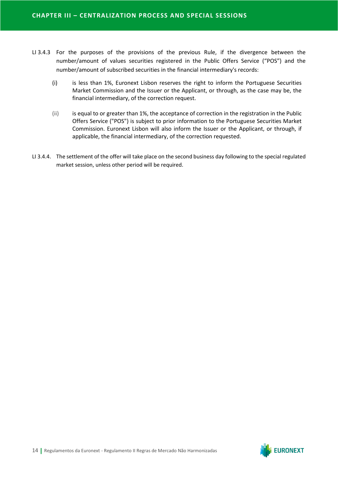- LI 3.4.3 For the purposes of the provisions of the previous Rule, if the divergence between the number/amount of values securities registered in the Public Offers Service ("POS") and the number/amount of subscribed securities in the financial intermediary's records:
	- (i) is less than 1%, Euronext Lisbon reserves the right to inform the Portuguese Securities Market Commission and the Issuer or the Applicant, or through, as the case may be, the financial intermediary, of the correction request.
	- (ii) is equal to or greater than 1%, the acceptance of correction in the registration in the Public Offers Service ("POS") is subject to prior information to the Portuguese Securities Market Commission. Euronext Lisbon will also inform the Issuer or the Applicant, or through, if applicable, the financial intermediary, of the correction requested.
- LI 3.4.4. The settlement of the offer will take place on the second business day following to the special regulated market session, unless other period will be required.

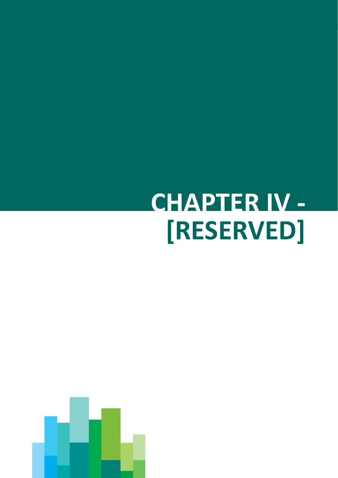# <span id="page-14-0"></span>**CHAPTER IV - [RESERVED]**

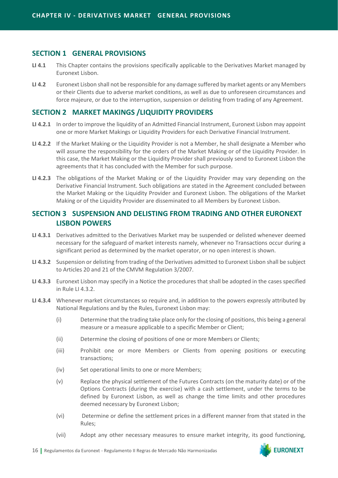#### **SECTION 1 GENERAL PROVISIONS**

- **LI 4.1** This Chapter contains the provisions specifically applicable to the Derivatives Market managed by Euronext Lisbon.
- **LI 4.2** Euronext Lisbon shall not be responsible for any damage suffered by market agents or any Members or their Clients due to adverse market conditions, as well as due to unforeseen circumstances and force majeure, or due to the interruption, suspension or delisting from trading of any Agreement.

#### **SECTION 2 MARKET MAKINGS /LIQUIDITY PROVIDERS**

- **LI 4.2.1** In order to improve the liquidity of an Admitted Financial Instrument, Euronext Lisbon may appoint one or more Market Makings or Liquidity Providers for each Derivative Financial Instrument.
- **LI 4.2.2** If the Market Making or the Liquidity Provider is not a Member, he shall designate a Member who will assume the responsibility for the orders of the Market Making or of the Liquidity Provider. In this case, the Market Making or the Liquidity Provider shall previously send to Euronext Lisbon the agreements that it has concluded with the Member for such purpose.
- **LI 4.2.3** The obligations of the Market Making or of the Liquidity Provider may vary depending on the Derivative Financial Instrument. Such obligations are stated in the Agreement concluded between the Market Making or the Liquidity Provider and Euronext Lisbon. The obligations of the Market Making or of the Liquidity Provider are disseminated to all Members by Euronext Lisbon.

#### **SECTION 3 SUSPENSION AND DELISTING FROM TRADING AND OTHER EURONEXT LISBON POWERS**

- **LI 4.3.1** Derivatives admitted to the Derivatives Market may be suspended or delisted whenever deemed necessary for the safeguard of market interests namely, whenever no Transactions occur during a significant period as determined by the market operator, or no open interest is shown.
- **LI 4.3.2** Suspension or delisting from trading of the Derivatives admitted to Euronext Lisbon shall be subject to Articles 20 and 21 of the CMVM Regulation 3/2007.
- **LI 4.3.3** Euronext Lisbon may specify in a Notice the procedures that shall be adopted in the cases specified in Rule LI 4.3.2.
- **LI 4.3.4** Whenever market circumstances so require and, in addition to the powers expressly attributed by National Regulations and by the Rules, Euronext Lisbon may:
	- (i) Determine that the trading take place only for the closing of positions, this being a general measure or a measure applicable to a specific Member or Client;
	- (ii) Determine the closing of positions of one or more Members or Clients;
	- (iii) Prohibit one or more Members or Clients from opening positions or executing transactions;
	- (iv) Set operational limits to one or more Members;
	- (v) Replace the physical settlement of the Futures Contracts (on the maturity date) or of the Options Contracts (during the exercise) with a cash settlement, under the terms to be defined by Euronext Lisbon, as well as change the time limits and other procedures deemed necessary by Euronext Lisbon;
	- (vi) Determine or define the settlement prices in a different manner from that stated in the Rules;
	- (vii) Adopt any other necessary measures to ensure market integrity, its good functioning,

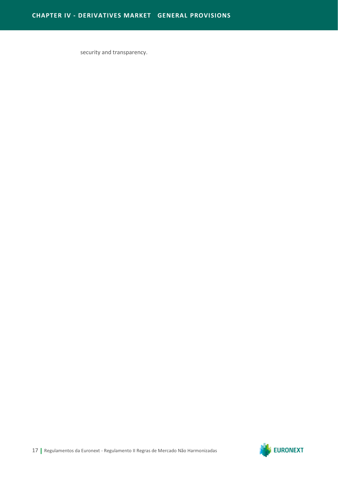security and transparency.

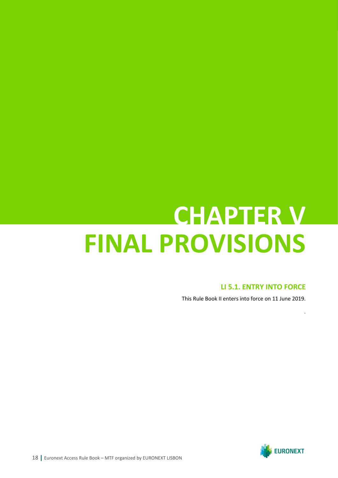### **CHAPTER V FINAL PROVISIONS**

#### **LI 5.1. ENTRY INTO FORCE**

.

This Rule Book II enters into force on 11 June 2019.